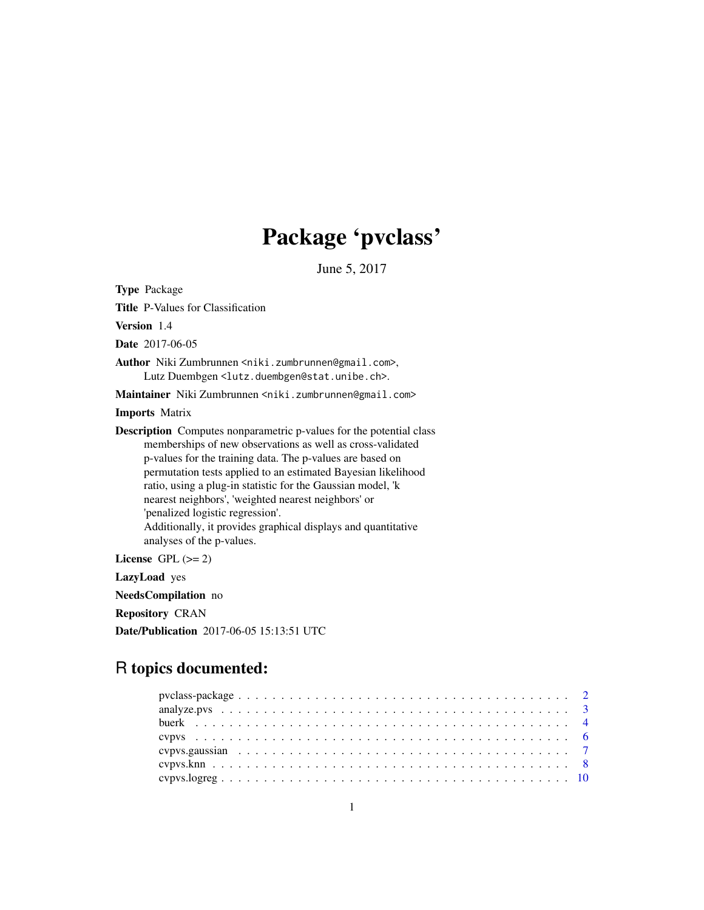## Package 'pvclass'

June 5, 2017

Type Package Title P-Values for Classification Version 1.4 Date 2017-06-05 Author Niki Zumbrunnen <niki.zumbrunnen@gmail.com>, Lutz Duembgen <lutz.duembgen@stat.unibe.ch>. Maintainer Niki Zumbrunnen <niki.zumbrunnen@gmail.com> Imports Matrix Description Computes nonparametric p-values for the potential class memberships of new observations as well as cross-validated p-values for the training data. The p-values are based on permutation tests applied to an estimated Bayesian likelihood ratio, using a plug-in statistic for the Gaussian model, 'k nearest neighbors', 'weighted nearest neighbors' or 'penalized logistic regression'. Additionally, it provides graphical displays and quantitative analyses of the p-values. License GPL  $(>= 2)$ LazyLoad yes

NeedsCompilation no

Repository CRAN

Date/Publication 2017-06-05 15:13:51 UTC

## R topics documented: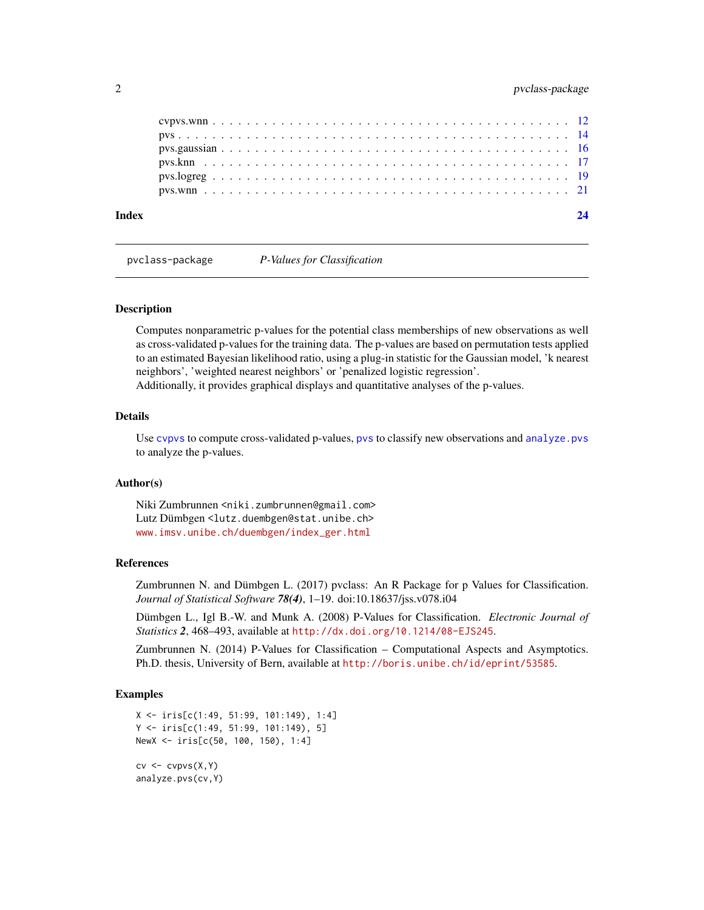<span id="page-1-0"></span>

| Index |  |  |  |  |  |  |  |  |  |  |  |  |  |  |  |  |  |  |  |
|-------|--|--|--|--|--|--|--|--|--|--|--|--|--|--|--|--|--|--|--|
|       |  |  |  |  |  |  |  |  |  |  |  |  |  |  |  |  |  |  |  |
|       |  |  |  |  |  |  |  |  |  |  |  |  |  |  |  |  |  |  |  |
|       |  |  |  |  |  |  |  |  |  |  |  |  |  |  |  |  |  |  |  |
|       |  |  |  |  |  |  |  |  |  |  |  |  |  |  |  |  |  |  |  |
|       |  |  |  |  |  |  |  |  |  |  |  |  |  |  |  |  |  |  |  |
|       |  |  |  |  |  |  |  |  |  |  |  |  |  |  |  |  |  |  |  |

pvclass-package *P-Values for Classification*

## Description

Computes nonparametric p-values for the potential class memberships of new observations as well as cross-validated p-values for the training data. The p-values are based on permutation tests applied to an estimated Bayesian likelihood ratio, using a plug-in statistic for the Gaussian model, 'k nearest neighbors', 'weighted nearest neighbors' or 'penalized logistic regression'.

Additionally, it provides graphical displays and quantitative analyses of the p-values.

## Details

Use [cvpvs](#page-5-1) to compute cross-validated p-values, [pvs](#page-13-1) to classify new observations and [analyze.pvs](#page-2-1) to analyze the p-values.

## Author(s)

Niki Zumbrunnen <niki.zumbrunnen@gmail.com> Lutz Dümbgen <lutz.duembgen@stat.unibe.ch> [www.imsv.unibe.ch/duembgen/index\\_ger.html](www.imsv.unibe.ch/duembgen/index_ger.html)

## References

Zumbrunnen N. and Dümbgen L. (2017) pvclass: An R Package for p Values for Classification. *Journal of Statistical Software 78(4)*, 1–19. doi:10.18637/jss.v078.i04

Dümbgen L., Igl B.-W. and Munk A. (2008) P-Values for Classification. *Electronic Journal of Statistics 2*, 468–493, available at <http://dx.doi.org/10.1214/08-EJS245>.

Zumbrunnen N. (2014) P-Values for Classification – Computational Aspects and Asymptotics. Ph.D. thesis, University of Bern, available at <http://boris.unibe.ch/id/eprint/53585>.

## Examples

```
X <- iris[c(1:49, 51:99, 101:149), 1:4]
Y <- iris[c(1:49, 51:99, 101:149), 5]
NewX <- iris[c(50, 100, 150), 1:4]
cv \leftarrow cvpvs(X,Y)analyze.pvs(cv,Y)
```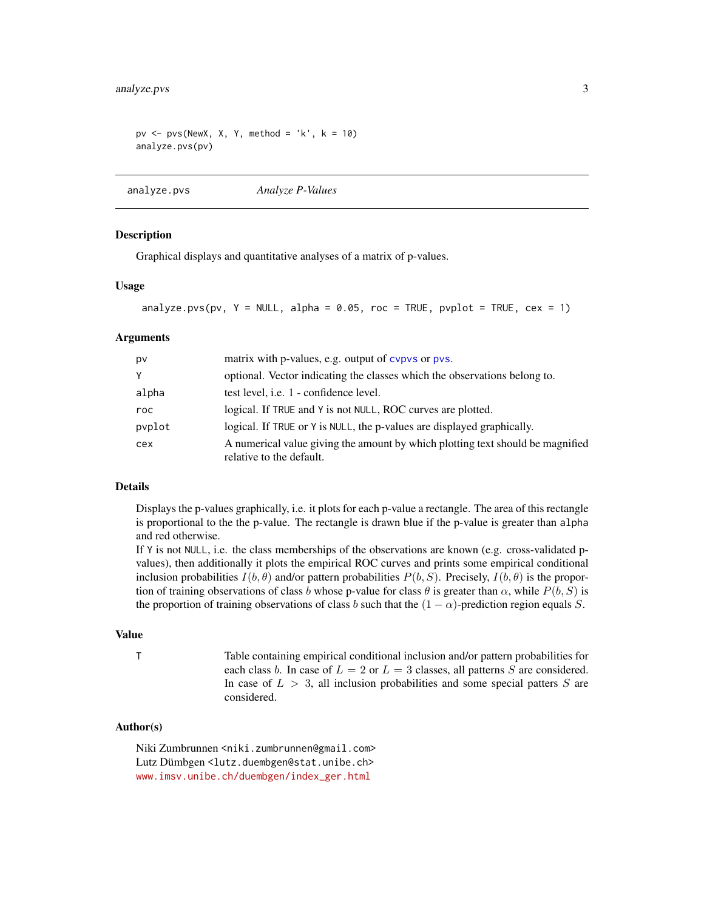```
pv <- pvs(NewX, X, Y, method = 'k', k = 10)analyze.pvs(pv)
```

```
analyze.pvs Analyze P-Values
```
## **Description**

Graphical displays and quantitative analyses of a matrix of p-values.

## Usage

```
analyze.pvs(pv, Y = NULL, alpha = 0.05, roc = TRUE, pvplot = TRUE, cex = 1)
```
#### Arguments

| pv     | matrix with p-values, e.g. output of cypys or pys.                                                         |
|--------|------------------------------------------------------------------------------------------------------------|
| Y      | optional. Vector indicating the classes which the observations belong to.                                  |
| alpha  | test level, i.e. 1 - confidence level.                                                                     |
| roc    | logical. If TRUE and Y is not NULL, ROC curves are plotted.                                                |
| pvplot | logical. If TRUE or Y is NULL, the p-values are displayed graphically.                                     |
| cex    | A numerical value giving the amount by which plotting text should be magnified<br>relative to the default. |

#### Details

Displays the p-values graphically, i.e. it plots for each p-value a rectangle. The area of this rectangle is proportional to the the p-value. The rectangle is drawn blue if the p-value is greater than alpha and red otherwise.

If Y is not NULL, i.e. the class memberships of the observations are known (e.g. cross-validated pvalues), then additionally it plots the empirical ROC curves and prints some empirical conditional inclusion probabilities  $I(b, \theta)$  and/or pattern probabilities  $P(b, S)$ . Precisely,  $I(b, \theta)$  is the proportion of training observations of class b whose p-value for class  $\theta$  is greater than  $\alpha$ , while  $P(b, S)$  is the proportion of training observations of class b such that the  $(1 - \alpha)$ -prediction region equals S.

## Value

T Table containing empirical conditional inclusion and/or pattern probabilities for each class b. In case of  $L = 2$  or  $L = 3$  classes, all patterns S are considered. In case of  $L > 3$ , all inclusion probabilities and some special patters S are considered.

## Author(s)

Niki Zumbrunnen <niki.zumbrunnen@gmail.com> Lutz Dümbgen <lutz.duembgen@stat.unibe.ch> [www.imsv.unibe.ch/duembgen/index\\_ger.html](www.imsv.unibe.ch/duembgen/index_ger.html)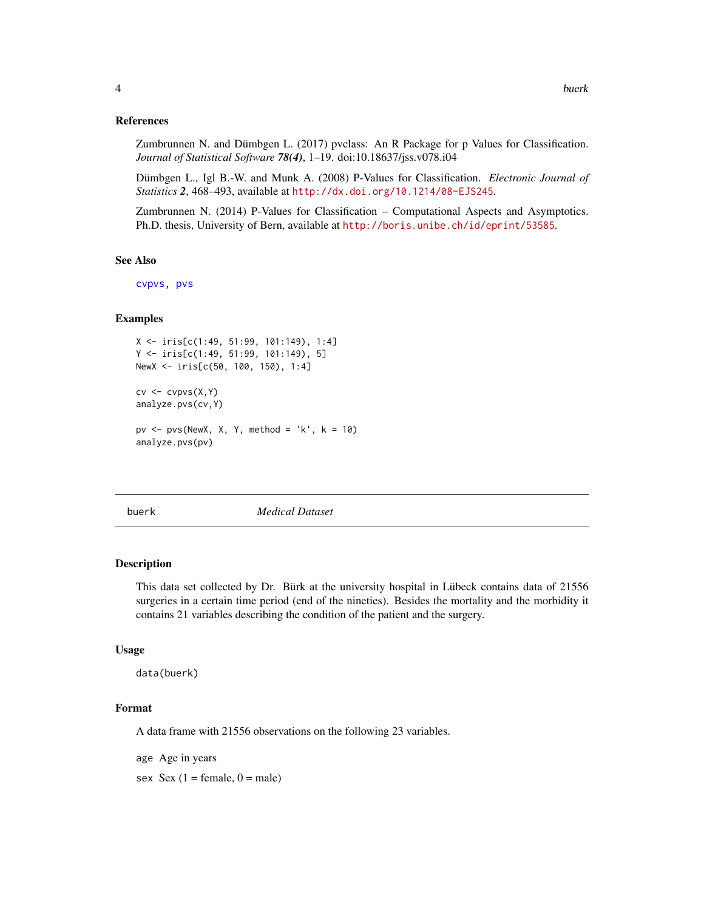## <span id="page-3-0"></span>References

Zumbrunnen N. and Dümbgen L. (2017) pvclass: An R Package for p Values for Classification. *Journal of Statistical Software 78(4)*, 1–19. doi:10.18637/jss.v078.i04

Dümbgen L., Igl B.-W. and Munk A. (2008) P-Values for Classification. *Electronic Journal of Statistics 2*, 468–493, available at <http://dx.doi.org/10.1214/08-EJS245>.

Zumbrunnen N. (2014) P-Values for Classification – Computational Aspects and Asymptotics. Ph.D. thesis, University of Bern, available at <http://boris.unibe.ch/id/eprint/53585>.

#### See Also

[cvpvs,](#page-5-1) [pvs](#page-13-1)

## Examples

```
X <- iris[c(1:49, 51:99, 101:149), 1:4]
Y <- iris[c(1:49, 51:99, 101:149), 5]
NewX <- iris[c(50, 100, 150), 1:4]
cv \leftarrow cvpvs(X,Y)analyze.pvs(cv,Y)
pv <- pvs(NewX, X, Y, method = 'k', k = 10)analyze.pvs(pv)
```
buerk *Medical Dataset*

#### **Description**

This data set collected by Dr. Bürk at the university hospital in Lübeck contains data of 21556 surgeries in a certain time period (end of the nineties). Besides the mortality and the morbidity it contains 21 variables describing the condition of the patient and the surgery.

## Usage

data(buerk)

## Format

A data frame with 21556 observations on the following 23 variables.

age Age in years

sex  $Sex(1 = female, 0 = male)$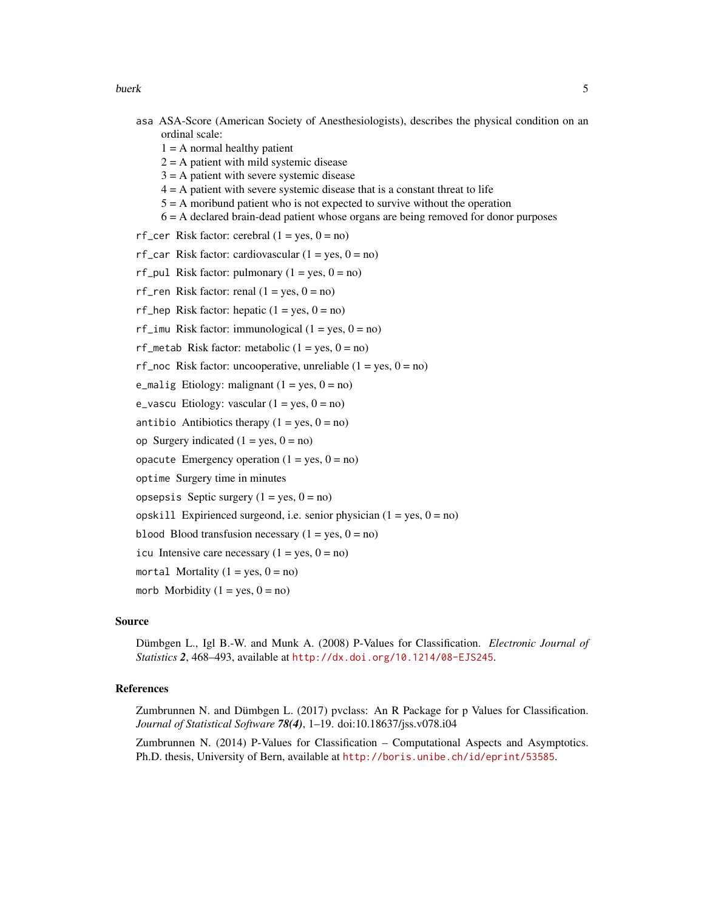buerk 55 and 55 and 55 and 55 and 55 and 55 and 55 and 55 and 55 and 55 and 55 and 55 and 55 and 55 and 55 and 55 and 55 and 55 and 55 and 55 and 55 and 55 and 55 and 55 and 55 and 55 and 55 and 55 and 55 and 55 and 55 and

- asa ASA-Score (American Society of Anesthesiologists), describes the physical condition on an ordinal scale:
	- $1 = A$  normal healthy patient
	- $2 = A$  patient with mild systemic disease
	- $3 = A$  patient with severe systemic disease
	- $4 = A$  patient with severe systemic disease that is a constant threat to life
	- 5 = A moribund patient who is not expected to survive without the operation
	- 6 = A declared brain-dead patient whose organs are being removed for donor purposes
- rf\_cer Risk factor: cerebral  $(1 = yes, 0 = no)$
- rf\_car Risk factor: cardiovascular  $(1 = yes, 0 = no)$
- rf\_pul Risk factor: pulmonary  $(1 = yes, 0 = no)$
- rf\_ren Risk factor: renal  $(1 = yes, 0 = no)$
- rf\_hep Risk factor: hepatic  $(1 = yes, 0 = no)$
- rf\_imu Risk factor: immunological  $(1 = yes, 0 = no)$
- rf\_metab Risk factor: metabolic  $(1 = yes, 0 = no)$
- rf\_noc Risk factor: uncooperative, unreliable  $(1 = yes, 0 = no)$
- e\_malig Etiology: malignant  $(1 = yes, 0 = no)$
- $e$ <sub>-vascu</sub> Etiology: vascular  $(1 = yes, 0 = no)$
- antibio Antibiotics therapy  $(1 = yes, 0 = no)$
- op Surgery indicated  $(1 = yes, 0 = no)$
- opacute Emergency operation  $(1 = yes, 0 = no)$
- optime Surgery time in minutes
- opsepsis Septic surgery  $(1 = yes, 0 = no)$
- opskill Expirienced surgeond, i.e. senior physician  $(1 = yes, 0 = no)$
- blood Blood transfusion necessary  $(1 = yes, 0 = no)$
- icu Intensive care necessary  $(1 = yes, 0 = no)$
- mortal Mortality  $(1 = yes, 0 = no)$
- morb Morbidity  $(1 = yes, 0 = no)$

## Source

Dümbgen L., Igl B.-W. and Munk A. (2008) P-Values for Classification. *Electronic Journal of Statistics 2*, 468–493, available at <http://dx.doi.org/10.1214/08-EJS245>.

## References

Zumbrunnen N. and Dümbgen L. (2017) pvclass: An R Package for p Values for Classification. *Journal of Statistical Software 78(4)*, 1–19. doi:10.18637/jss.v078.i04

Zumbrunnen N. (2014) P-Values for Classification – Computational Aspects and Asymptotics. Ph.D. thesis, University of Bern, available at <http://boris.unibe.ch/id/eprint/53585>.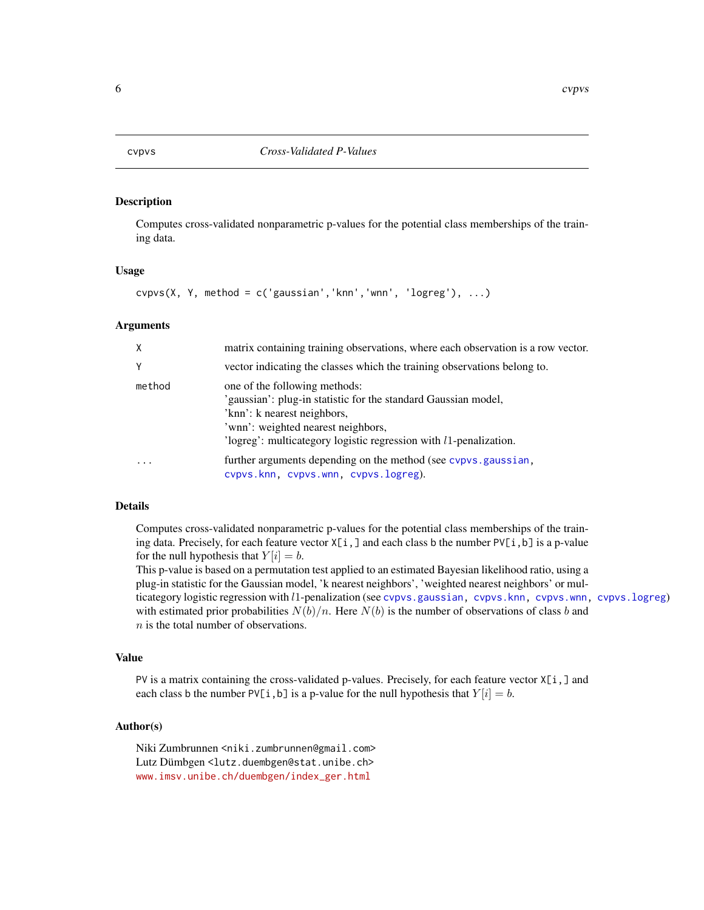## <span id="page-5-1"></span><span id="page-5-0"></span>Description

Computes cross-validated nonparametric p-values for the potential class memberships of the training data.

## Usage

```
cvpvs(X, Y, method = c('gaussian', 'knn', 'wnn', 'logreg'), ...)
```
#### Arguments

| X      | matrix containing training observations, where each observation is a row vector.                                                                                                                                                                  |
|--------|---------------------------------------------------------------------------------------------------------------------------------------------------------------------------------------------------------------------------------------------------|
| Y      | vector indicating the classes which the training observations belong to.                                                                                                                                                                          |
| method | one of the following methods:<br>'gaussian': plug-in statistic for the standard Gaussian model,<br>'knn': k nearest neighbors,<br>'wnn': weighted nearest neighbors,<br>'logreg': multicategory logistic regression with <i>l</i> 1-penalization. |
|        | further arguments depending on the method (see cypys, gaussian,<br>cvpvs.knn, cvpvs.wnn, cvpvs.logreg).                                                                                                                                           |

## Details

Computes cross-validated nonparametric p-values for the potential class memberships of the training data. Precisely, for each feature vector  $X[i, j]$  and each class b the number PV[i,b] is a p-value for the null hypothesis that  $Y[i] = b$ .

This p-value is based on a permutation test applied to an estimated Bayesian likelihood ratio, using a plug-in statistic for the Gaussian model, 'k nearest neighbors', 'weighted nearest neighbors' or multicategory logistic regression with l1-penalization (see [cvpvs.gaussian,](#page-6-1) [cvpvs.knn,](#page-7-1) [cvpvs.wnn,](#page-11-1) [cvpvs.logreg](#page-9-1)) with estimated prior probabilities  $N(b)/n$ . Here  $N(b)$  is the number of observations of class b and n is the total number of observations.

## Value

PV is a matrix containing the cross-validated p-values. Precisely, for each feature vector  $X[i, ]$  and each class b the number  $PV[i, b]$  is a p-value for the null hypothesis that  $Y[i] = b$ .

## Author(s)

Niki Zumbrunnen <niki.zumbrunnen@gmail.com> Lutz Dümbgen <lutz.duembgen@stat.unibe.ch> [www.imsv.unibe.ch/duembgen/index\\_ger.html](www.imsv.unibe.ch/duembgen/index_ger.html)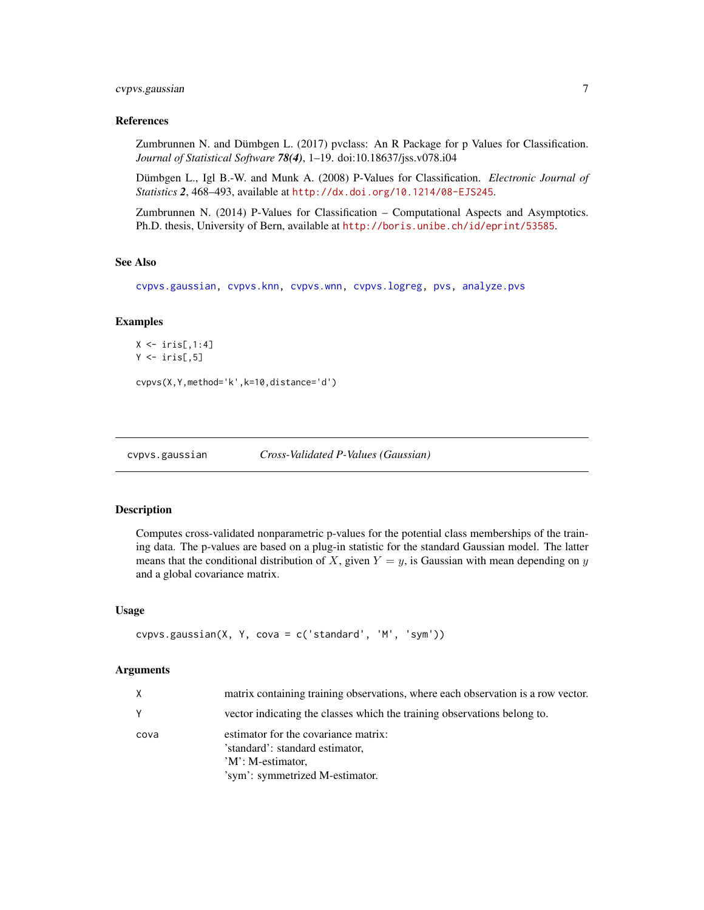## <span id="page-6-0"></span>cvpvs.gaussian 7

## References

Zumbrunnen N. and Dümbgen L. (2017) pvclass: An R Package for p Values for Classification. *Journal of Statistical Software 78(4)*, 1–19. doi:10.18637/jss.v078.i04

Dümbgen L., Igl B.-W. and Munk A. (2008) P-Values for Classification. *Electronic Journal of Statistics 2*, 468–493, available at <http://dx.doi.org/10.1214/08-EJS245>.

Zumbrunnen N. (2014) P-Values for Classification – Computational Aspects and Asymptotics. Ph.D. thesis, University of Bern, available at <http://boris.unibe.ch/id/eprint/53585>.

## See Also

[cvpvs.gaussian,](#page-6-1) [cvpvs.knn,](#page-7-1) [cvpvs.wnn,](#page-11-1) [cvpvs.logreg,](#page-9-1) [pvs,](#page-13-1) [analyze.pvs](#page-2-1)

## Examples

```
X \leftarrow \text{iris}[, 1:4]Y \leftarrow \{ \text{iris}[ , 5]
```
cvpvs(X,Y,method='k',k=10,distance='d')

<span id="page-6-1"></span>cvpvs.gaussian *Cross-Validated P-Values (Gaussian)*

## Description

Computes cross-validated nonparametric p-values for the potential class memberships of the training data. The p-values are based on a plug-in statistic for the standard Gaussian model. The latter means that the conditional distribution of X, given  $Y = y$ , is Gaussian with mean depending on y and a global covariance matrix.

#### Usage

```
cvpvs.gaussian(X, Y, cova = c('standard', 'M', 'sym'))
```
#### Arguments

| X    | matrix containing training observations, where each observation is a row vector.                                                |
|------|---------------------------------------------------------------------------------------------------------------------------------|
|      | vector indicating the classes which the training observations belong to.                                                        |
| cova | estimator for the covariance matrix:<br>'standard': standard estimator,<br>'M': M-estimator,<br>'sym': symmetrized M-estimator. |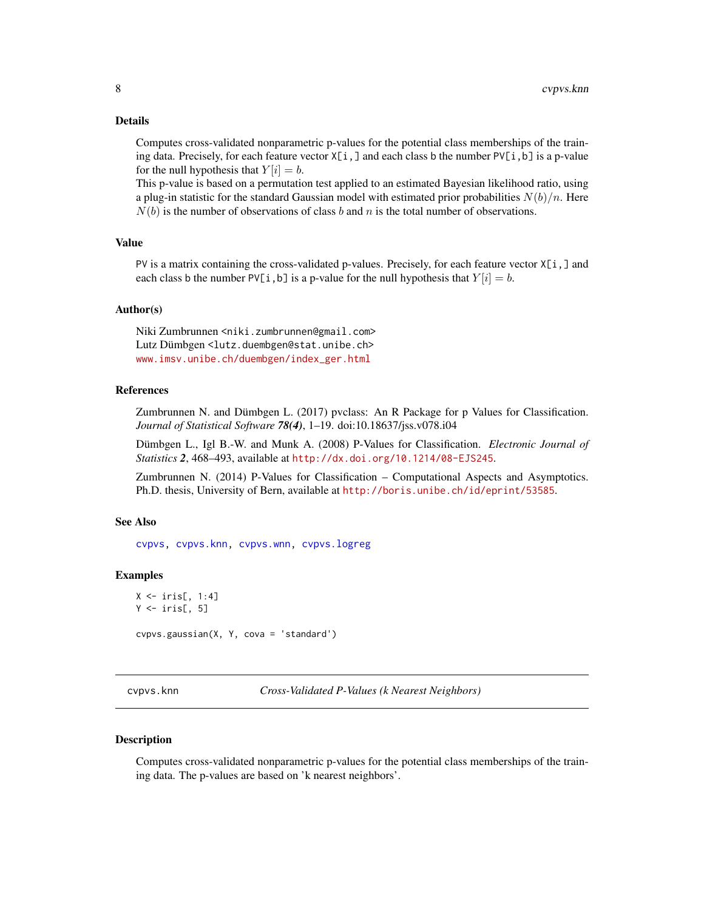## <span id="page-7-0"></span>Details

Computes cross-validated nonparametric p-values for the potential class memberships of the training data. Precisely, for each feature vector  $X[i, j]$  and each class b the number PV[i, b] is a p-value for the null hypothesis that  $Y[i] = b$ .

This p-value is based on a permutation test applied to an estimated Bayesian likelihood ratio, using a plug-in statistic for the standard Gaussian model with estimated prior probabilities  $N(b)/n$ . Here  $N(b)$  is the number of observations of class b and n is the total number of observations.

## Value

PV is a matrix containing the cross-validated p-values. Precisely, for each feature vector  $X[i, ]$  and each class b the number PV[i, b] is a p-value for the null hypothesis that  $Y[i] = b$ .

## Author(s)

Niki Zumbrunnen <niki.zumbrunnen@gmail.com> Lutz Dümbgen <lutz.duembgen@stat.unibe.ch> [www.imsv.unibe.ch/duembgen/index\\_ger.html](www.imsv.unibe.ch/duembgen/index_ger.html)

## References

Zumbrunnen N. and Dümbgen L. (2017) pvclass: An R Package for p Values for Classification. *Journal of Statistical Software 78(4)*, 1–19. doi:10.18637/jss.v078.i04

Dümbgen L., Igl B.-W. and Munk A. (2008) P-Values for Classification. *Electronic Journal of Statistics 2*, 468–493, available at <http://dx.doi.org/10.1214/08-EJS245>.

Zumbrunnen N. (2014) P-Values for Classification – Computational Aspects and Asymptotics. Ph.D. thesis, University of Bern, available at <http://boris.unibe.ch/id/eprint/53585>.

## See Also

[cvpvs,](#page-5-1) [cvpvs.knn,](#page-7-1) [cvpvs.wnn,](#page-11-1) [cvpvs.logreg](#page-9-1)

## Examples

```
X \leftarrow \text{iris}[, 1:4]Y \leftarrow \text{iris}[, 5]cvpvs.gaussian(X, Y, cova = 'standard')
```
<span id="page-7-1"></span>cvpvs.knn *Cross-Validated P-Values (k Nearest Neighbors)*

## Description

Computes cross-validated nonparametric p-values for the potential class memberships of the training data. The p-values are based on 'k nearest neighbors'.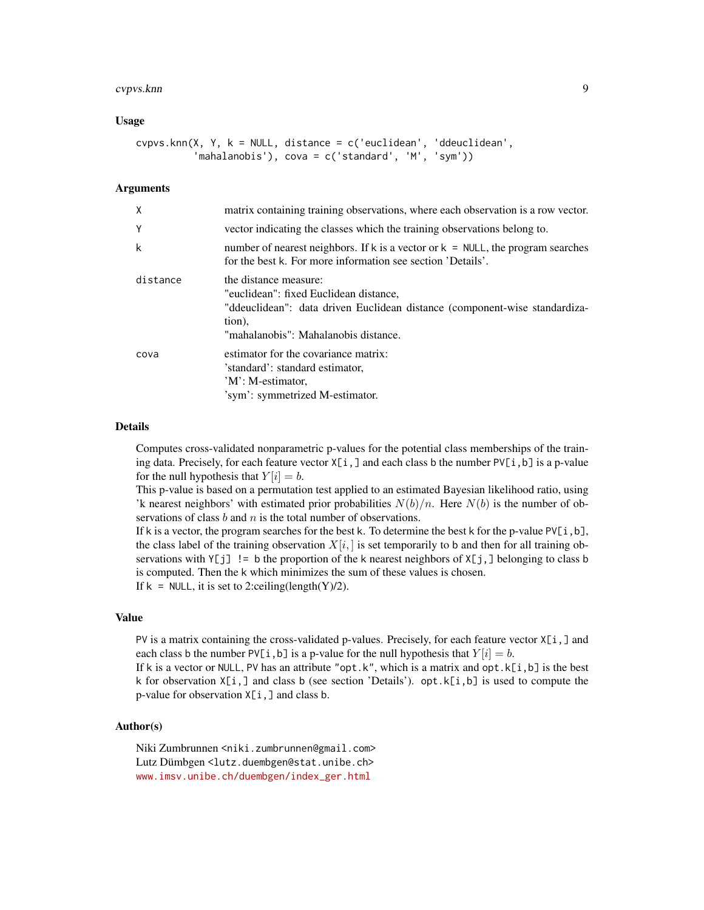#### cvpvs.knn 9

## Usage

```
cvpvs.knn(X, Y, k = NULL, distance = c('euclidean', 'ddeuclidean',
          'mahalanobis'), cova = c('standard', 'M', 'sym'))
```
## Arguments

| $\mathsf{X}$ | matrix containing training observations, where each observation is a row vector.                                                                                                                |
|--------------|-------------------------------------------------------------------------------------------------------------------------------------------------------------------------------------------------|
| Y            | vector indicating the classes which the training observations belong to.                                                                                                                        |
| k            | number of nearest neighbors. If k is a vector or $k = NULL$ , the program searches<br>for the best k. For more information see section 'Details'.                                               |
| distance     | the distance measure:<br>"euclidean": fixed Euclidean distance,<br>"ddeuclidean": data driven Euclidean distance (component-wise standardiza-<br>tion),<br>"mahalanobis": Mahalanobis distance. |
| cova         | estimator for the covariance matrix:<br>'standard': standard estimator,<br>'M': M-estimator,<br>'sym': symmetrized M-estimator.                                                                 |

#### Details

Computes cross-validated nonparametric p-values for the potential class memberships of the training data. Precisely, for each feature vector  $X[i, j]$  and each class b the number PV[i,b] is a p-value for the null hypothesis that  $Y[i] = b$ .

This p-value is based on a permutation test applied to an estimated Bayesian likelihood ratio, using 'k nearest neighbors' with estimated prior probabilities  $N(b)/n$ . Here  $N(b)$  is the number of observations of class  $b$  and  $n$  is the total number of observations.

If k is a vector, the program searches for the best k. To determine the best k for the p-value  $PV[i, b]$ , the class label of the training observation  $X[i]$ , is set temporarily to b and then for all training observations with  $Y[j]$  != b the proportion of the k nearest neighbors of  $X[j, ]$  belonging to class b is computed. Then the k which minimizes the sum of these values is chosen.

If  $k = \text{NULL}$ , it is set to 2:ceiling(length(Y)/2).

#### Value

PV is a matrix containing the cross-validated p-values. Precisely, for each feature vector  $X[i, ]$  and each class b the number PV[i, b] is a p-value for the null hypothesis that  $Y[i] = b$ .

If k is a vector or NULL, PV has an attribute "opt.k", which is a matrix and opt.k[i,b] is the best k for observation  $X[i,]$  and class b (see section 'Details'). opt.  $k[i, b]$  is used to compute the p-value for observation X[i,] and class b.

## Author(s)

Niki Zumbrunnen <niki.zumbrunnen@gmail.com> Lutz Dümbgen <lutz.duembgen@stat.unibe.ch> [www.imsv.unibe.ch/duembgen/index\\_ger.html](www.imsv.unibe.ch/duembgen/index_ger.html)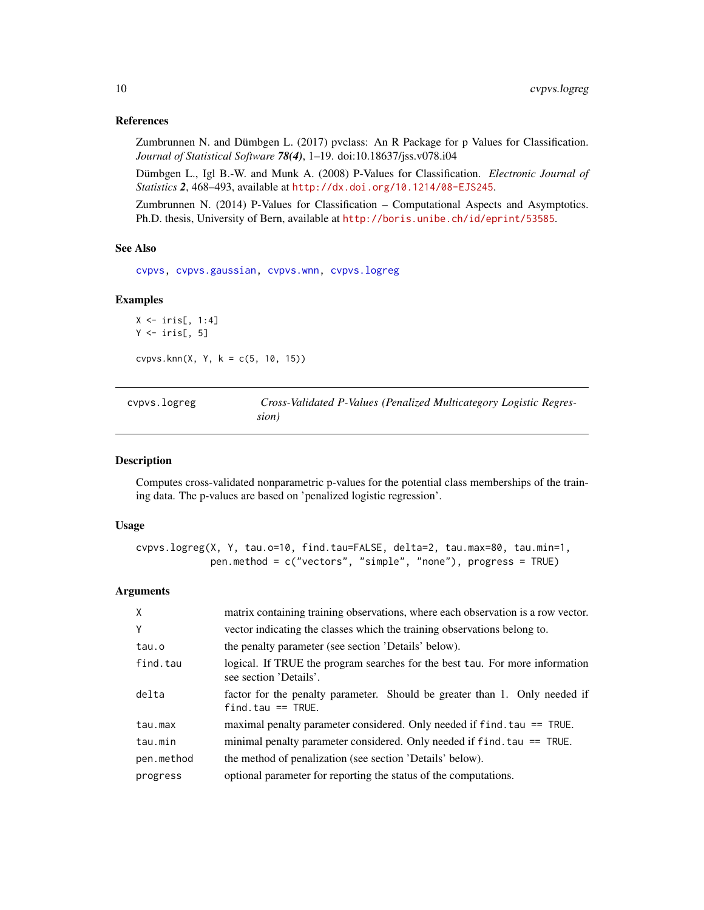## <span id="page-9-0"></span>References

Zumbrunnen N. and Dümbgen L. (2017) pvclass: An R Package for p Values for Classification. *Journal of Statistical Software 78(4)*, 1–19. doi:10.18637/jss.v078.i04

Dümbgen L., Igl B.-W. and Munk A. (2008) P-Values for Classification. *Electronic Journal of Statistics 2*, 468–493, available at <http://dx.doi.org/10.1214/08-EJS245>.

Zumbrunnen N. (2014) P-Values for Classification – Computational Aspects and Asymptotics. Ph.D. thesis, University of Bern, available at <http://boris.unibe.ch/id/eprint/53585>.

#### See Also

[cvpvs,](#page-5-1) [cvpvs.gaussian,](#page-6-1) [cvpvs.wnn,](#page-11-1) [cvpvs.logreg](#page-9-1)

#### Examples

```
X \leftarrow \text{iris}[, 1:4]Y \leftarrow \text{iris}[, 5]cvpvs.knn(X, Y, k = c(5, 10, 15))
```
<span id="page-9-1"></span>

| cypys.logreg | Cross-Validated P-Values (Penalized Multicategory Logistic Regres- |
|--------------|--------------------------------------------------------------------|
|              | sion)                                                              |

## Description

Computes cross-validated nonparametric p-values for the potential class memberships of the training data. The p-values are based on 'penalized logistic regression'.

#### Usage

```
cvpvs.logreg(X, Y, tau.o=10, find.tau=FALSE, delta=2, tau.max=80, tau.min=1,
             pen.method = c("vectors", "simple", "none"), progress = TRUE)
```
## Arguments

| $\mathsf{X}$ | matrix containing training observations, where each observation is a row vector.                       |
|--------------|--------------------------------------------------------------------------------------------------------|
| Υ            | vector indicating the classes which the training observations belong to.                               |
| tau.o        | the penalty parameter (see section 'Details' below).                                                   |
| find.tau     | logical. If TRUE the program searches for the best tau. For more information<br>see section 'Details'. |
| delta        | factor for the penalty parameter. Should be greater than 1. Only needed if<br>$find$ tau == TRUE.      |
| tau.max      | maximal penalty parameter considered. Only needed if find. tau == TRUE.                                |
| tau.min      | minimal penalty parameter considered. Only needed if f ind. tau == TRUE.                               |
| pen.method   | the method of penalization (see section 'Details' below).                                              |
| progress     | optional parameter for reporting the status of the computations.                                       |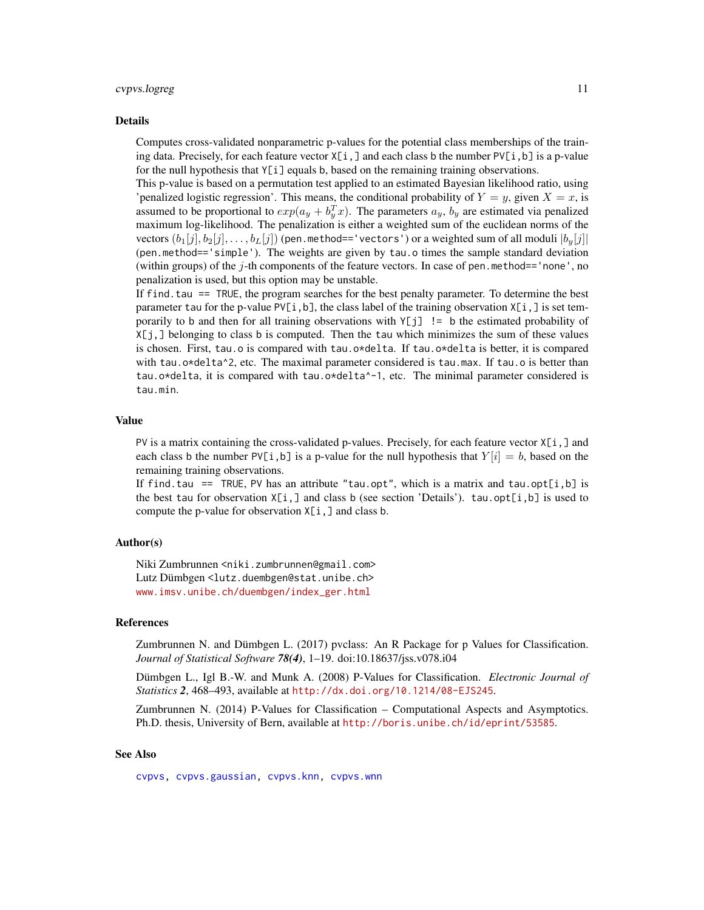#### <span id="page-10-0"></span>cvpvs.logreg 11

#### Details

Computes cross-validated nonparametric p-values for the potential class memberships of the training data. Precisely, for each feature vector  $X[i, ]$  and each class b the number  $PV[i, b]$  is a p-value for the null hypothesis that  $Y[i]$  equals b, based on the remaining training observations.

This p-value is based on a permutation test applied to an estimated Bayesian likelihood ratio, using 'penalized logistic regression'. This means, the conditional probability of  $Y = y$ , given  $X = x$ , is assumed to be proportional to  $exp(a_y + b_y^T x)$ . The parameters  $a_y$ ,  $b_y$  are estimated via penalized maximum log-likelihood. The penalization is either a weighted sum of the euclidean norms of the vectors  $(b_1[j], b_2[j], \ldots, b_L[j])$  (pen.method=='vectors') or a weighted sum of all moduli  $|b_u[j]|$ (pen.method=='simple'). The weights are given by tau.o times the sample standard deviation (within groups) of the j-th components of the feature vectors. In case of pen.method=='none', no penalization is used, but this option may be unstable.

If find.tau == TRUE, the program searches for the best penalty parameter. To determine the best parameter tau for the p-value PV[i, b], the class label of the training observation  $X[i, j]$  is set temporarily to b and then for all training observations with  $Y[j]$  != b the estimated probability of X[j,] belonging to class b is computed. Then the tau which minimizes the sum of these values is chosen. First, tau.o is compared with tau.o\*delta. If tau.o\*delta is better, it is compared with tau.o\*delta^2, etc. The maximal parameter considered is tau.max. If tau.o is better than tau.o\*delta, it is compared with tau.o\*delta^-1, etc. The minimal parameter considered is tau.min.

#### Value

PV is a matrix containing the cross-validated p-values. Precisely, for each feature vector  $X[i, ]$  and each class b the number  $PV[i, b]$  is a p-value for the null hypothesis that  $Y[i] = b$ , based on the remaining training observations.

If find.tau == TRUE, PV has an attribute "tau.opt", which is a matrix and tau.opt[i,b] is the best tau for observation  $X[i, ]$  and class b (see section 'Details'). tau.opt[i,b] is used to compute the p-value for observation  $X[i, ]$  and class b.

## Author(s)

Niki Zumbrunnen <niki.zumbrunnen@gmail.com> Lutz Dümbgen <lutz.duembgen@stat.unibe.ch> [www.imsv.unibe.ch/duembgen/index\\_ger.html](www.imsv.unibe.ch/duembgen/index_ger.html)

## References

Zumbrunnen N. and Dümbgen L. (2017) pvclass: An R Package for p Values for Classification. *Journal of Statistical Software 78(4)*, 1–19. doi:10.18637/jss.v078.i04

Dümbgen L., Igl B.-W. and Munk A. (2008) P-Values for Classification. *Electronic Journal of Statistics 2*, 468–493, available at <http://dx.doi.org/10.1214/08-EJS245>.

Zumbrunnen N. (2014) P-Values for Classification – Computational Aspects and Asymptotics. Ph.D. thesis, University of Bern, available at <http://boris.unibe.ch/id/eprint/53585>.

#### See Also

[cvpvs,](#page-5-1) [cvpvs.gaussian,](#page-6-1) [cvpvs.knn,](#page-7-1) [cvpvs.wnn](#page-11-1)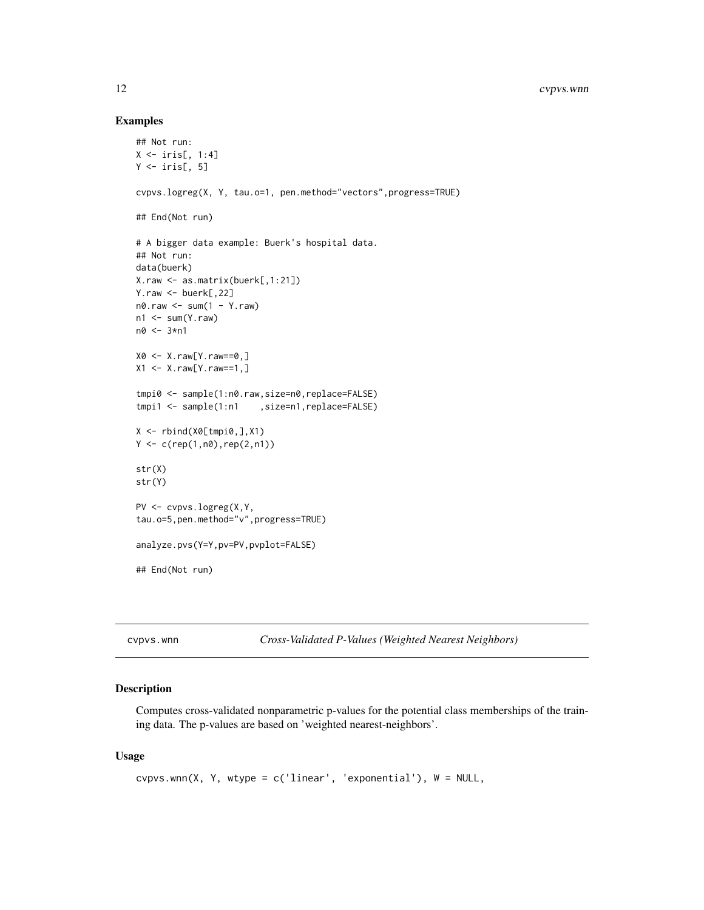## Examples

```
## Not run:
X \leftarrow \text{iris}[, 1:4]Y \leftarrow \text{iris}[, 5]cvpvs.logreg(X, Y, tau.o=1, pen.method="vectors",progress=TRUE)
## End(Not run)
# A bigger data example: Buerk's hospital data.
## Not run:
data(buerk)
X.raw <- as.matrix(buerk[,1:21])
Y.raw <- buerk[,22]
n0.raw <- sum(1 - Y.raw)
n1 \le -\text{sum}(Y\text{.raw})n0 <- 3*n1
X0 <- X.raw[Y.raw==0,]
X1 \le -X.\text{raw}[Y.\text{raw}==1, ]tmpi0 <- sample(1:n0.raw,size=n0,replace=FALSE)
tmpi1 <- sample(1:n1 ,size=n1,replace=FALSE)
X <- rbind(X0[tmpi0,],X1)
Y \leftarrow c(rep(1, n\emptyset), rep(2, n1))str(X)
str(Y)
PV <- cvpvs.logreg(X,Y,
tau.o=5,pen.method="v",progress=TRUE)
analyze.pvs(Y=Y,pv=PV,pvplot=FALSE)
## End(Not run)
```
<span id="page-11-1"></span>cvpvs.wnn *Cross-Validated P-Values (Weighted Nearest Neighbors)*

## Description

Computes cross-validated nonparametric p-values for the potential class memberships of the training data. The p-values are based on 'weighted nearest-neighbors'.

## Usage

```
cvpvs.wnn(X, Y, wtype = c('linear', 'exponential'), W = NULL,
```
<span id="page-11-0"></span>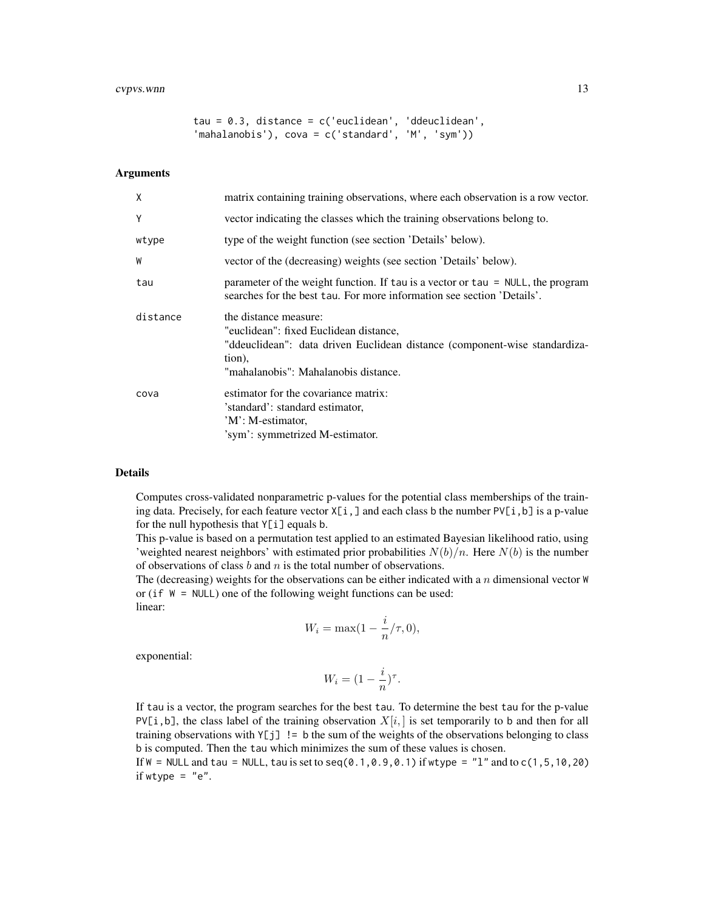tau = 0.3, distance = c('euclidean', 'ddeuclidean', 'mahalanobis'), cova = c('standard', 'M', 'sym'))

## Arguments

| X        | matrix containing training observations, where each observation is a row vector.                                                                                                                |
|----------|-------------------------------------------------------------------------------------------------------------------------------------------------------------------------------------------------|
| Y        | vector indicating the classes which the training observations belong to.                                                                                                                        |
| wtype    | type of the weight function (see section 'Details' below).                                                                                                                                      |
| W        | vector of the (decreasing) weights (see section 'Details' below).                                                                                                                               |
| tau      | parameter of the weight function. If tau is a vector or tau = NULL, the program<br>searches for the best tau. For more information see section 'Details'.                                       |
| distance | the distance measure:<br>"euclidean": fixed Euclidean distance,<br>"ddeuclidean": data driven Euclidean distance (component-wise standardiza-<br>tion),<br>"mahalanobis": Mahalanobis distance. |
| cova     | estimator for the covariance matrix:<br>'standard': standard estimator,<br>'M': M-estimator,<br>'sym': symmetrized M-estimator.                                                                 |

## Details

Computes cross-validated nonparametric p-values for the potential class memberships of the training data. Precisely, for each feature vector  $X[i, ]$  and each class b the number  $PV[i, b]$  is a p-value for the null hypothesis that Y[i] equals b.

This p-value is based on a permutation test applied to an estimated Bayesian likelihood ratio, using 'weighted nearest neighbors' with estimated prior probabilities  $N(b)/n$ . Here  $N(b)$  is the number of observations of class  $b$  and  $n$  is the total number of observations.

The (decreasing) weights for the observations can be either indicated with a  $n$  dimensional vector  $W$ or (if  $W = NULL$ ) one of the following weight functions can be used: linear:

$$
W_i = \max(1 - \frac{i}{n}/\tau, 0),
$$

exponential:

$$
W_i = (1 - \frac{i}{n})^\tau.
$$

If tau is a vector, the program searches for the best tau. To determine the best tau for the p-value PV[i, b], the class label of the training observation  $X[i]$ , is set temporarily to b and then for all training observations with  $Y[j]$  != b the sum of the weights of the observations belonging to class b is computed. Then the tau which minimizes the sum of these values is chosen.

If  $W = \text{NULL}$  and tau = NULL, tau is set to seq(0.1,0.9,0.1) if wtype = "1" and to c(1,5,10,20) if wtype  $=$  "e".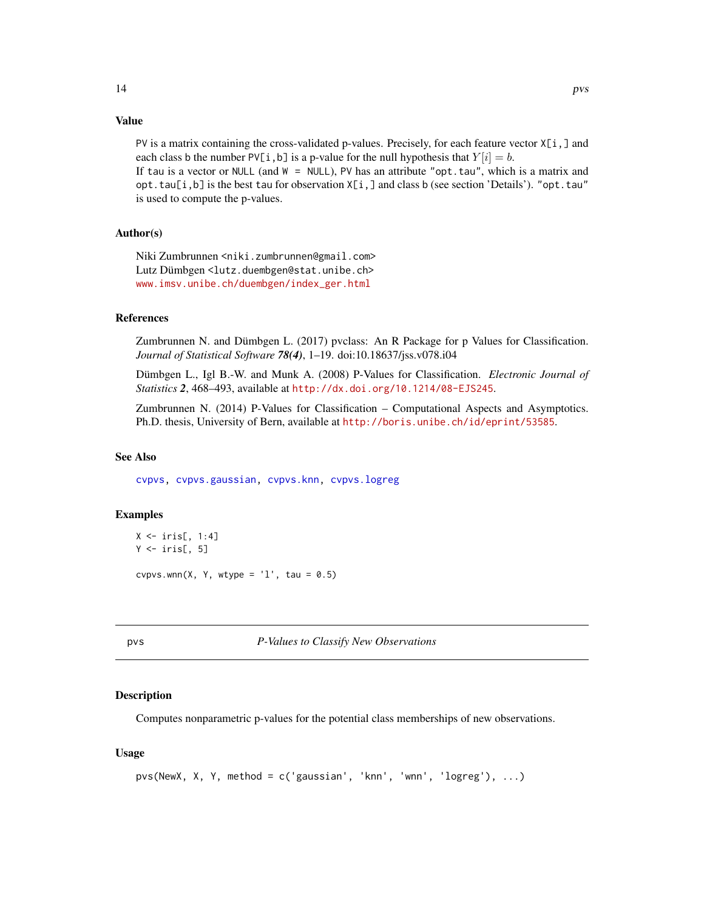## <span id="page-13-0"></span>Value

PV is a matrix containing the cross-validated p-values. Precisely, for each feature vector  $X[i, ]$  and each class b the number PV[i, b] is a p-value for the null hypothesis that  $Y[i] = b$ .

If tau is a vector or NULL (and  $W = NULL$ ), PV has an attribute "opt.tau", which is a matrix and  $opt.ta([i,b]$  is the best tau for observation  $X[i, ]$  and class b (see section 'Details'). "opt.tau" is used to compute the p-values.

## Author(s)

Niki Zumbrunnen <niki.zumbrunnen@gmail.com> Lutz Dümbgen <lutz.duembgen@stat.unibe.ch> [www.imsv.unibe.ch/duembgen/index\\_ger.html](www.imsv.unibe.ch/duembgen/index_ger.html)

#### References

Zumbrunnen N. and Dümbgen L. (2017) pvclass: An R Package for p Values for Classification. *Journal of Statistical Software 78(4)*, 1–19. doi:10.18637/jss.v078.i04

Dümbgen L., Igl B.-W. and Munk A. (2008) P-Values for Classification. *Electronic Journal of Statistics 2*, 468–493, available at <http://dx.doi.org/10.1214/08-EJS245>.

Zumbrunnen N. (2014) P-Values for Classification – Computational Aspects and Asymptotics. Ph.D. thesis, University of Bern, available at <http://boris.unibe.ch/id/eprint/53585>.

## See Also

[cvpvs,](#page-5-1) [cvpvs.gaussian,](#page-6-1) [cvpvs.knn,](#page-7-1) [cvpvs.logreg](#page-9-1)

## Examples

```
X \leftarrow \text{iris}[, 1:4]Y \leftarrow \text{iris}[, 5]cvpvs.wnn(X, Y, wtype = '1', tau = 0.5)
```
<span id="page-13-1"></span>

pvs *P-Values to Classify New Observations*

## Description

Computes nonparametric p-values for the potential class memberships of new observations.

## Usage

```
pvs(NewX, X, Y, method = c('gaussian', 'knn', 'wnn', 'logreg'), ...)
```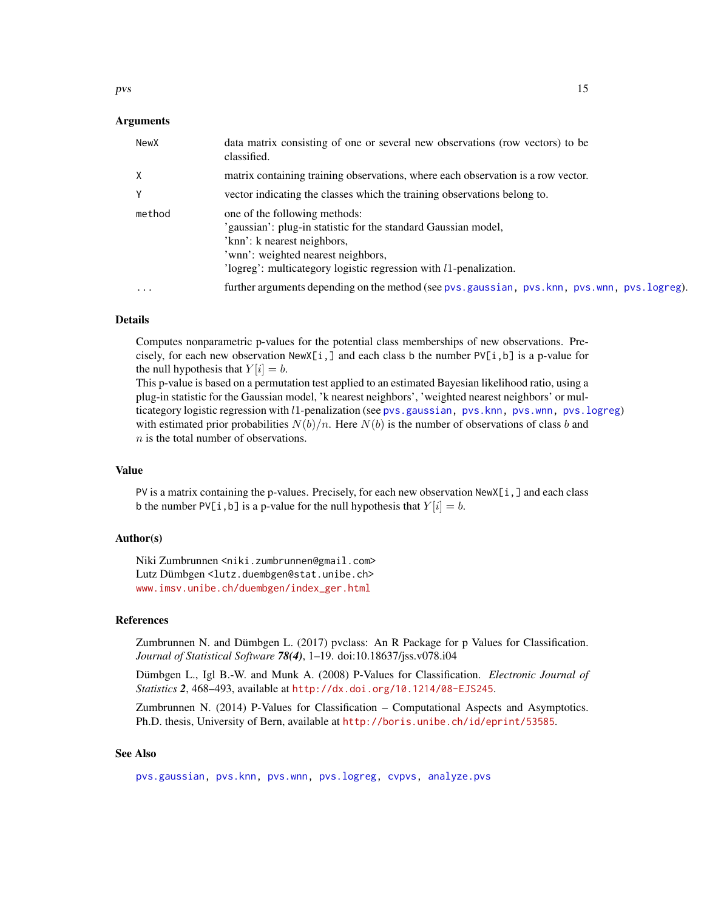## <span id="page-14-0"></span>Arguments

| NewX     | data matrix consisting of one or several new observations (row vectors) to be<br>classified.                                                                                                                                                  |
|----------|-----------------------------------------------------------------------------------------------------------------------------------------------------------------------------------------------------------------------------------------------|
| x        | matrix containing training observations, where each observation is a row vector.                                                                                                                                                              |
| v        | vector indicating the classes which the training observations belong to.                                                                                                                                                                      |
| method   | one of the following methods:<br>'gaussian': plug-in statistic for the standard Gaussian model,<br>'knn': k nearest neighbors,<br>'wnn': weighted nearest neighbors,<br>$logreg$ : multicategory logistic regression with $l1$ -penalization. |
| $\ddots$ | further arguments depending on the method (see pvs.gaussian, pvs.knn, pvs.wnn, pvs.logreg).                                                                                                                                                   |

## **Details**

Computes nonparametric p-values for the potential class memberships of new observations. Precisely, for each new observation  $NewX[i, ]$  and each class b the number  $PV[i, b]$  is a p-value for the null hypothesis that  $Y[i] = b$ .

This p-value is based on a permutation test applied to an estimated Bayesian likelihood ratio, using a plug-in statistic for the Gaussian model, 'k nearest neighbors', 'weighted nearest neighbors' or multicategory logistic regression with l1-penalization (see [pvs.gaussian,](#page-15-1) [pvs.knn,](#page-16-1) [pvs.wnn,](#page-20-1) [pvs.logreg](#page-18-1)) with estimated prior probabilities  $N(b)/n$ . Here  $N(b)$  is the number of observations of class b and n is the total number of observations.

#### Value

PV is a matrix containing the p-values. Precisely, for each new observation NewX[i,] and each class b the number PV[i, b] is a p-value for the null hypothesis that  $Y[i] = b$ .

## Author(s)

Niki Zumbrunnen <niki.zumbrunnen@gmail.com> Lutz Dümbgen <lutz.duembgen@stat.unibe.ch> [www.imsv.unibe.ch/duembgen/index\\_ger.html](www.imsv.unibe.ch/duembgen/index_ger.html)

## References

Zumbrunnen N. and Dümbgen L. (2017) pvclass: An R Package for p Values for Classification. *Journal of Statistical Software 78(4)*, 1–19. doi:10.18637/jss.v078.i04

Dümbgen L., Igl B.-W. and Munk A. (2008) P-Values for Classification. *Electronic Journal of Statistics 2*, 468–493, available at <http://dx.doi.org/10.1214/08-EJS245>.

Zumbrunnen N. (2014) P-Values for Classification – Computational Aspects and Asymptotics. Ph.D. thesis, University of Bern, available at <http://boris.unibe.ch/id/eprint/53585>.

## See Also

[pvs.gaussian,](#page-15-1) [pvs.knn,](#page-16-1) [pvs.wnn,](#page-20-1) [pvs.logreg,](#page-18-1) [cvpvs,](#page-5-1) [analyze.pvs](#page-2-1)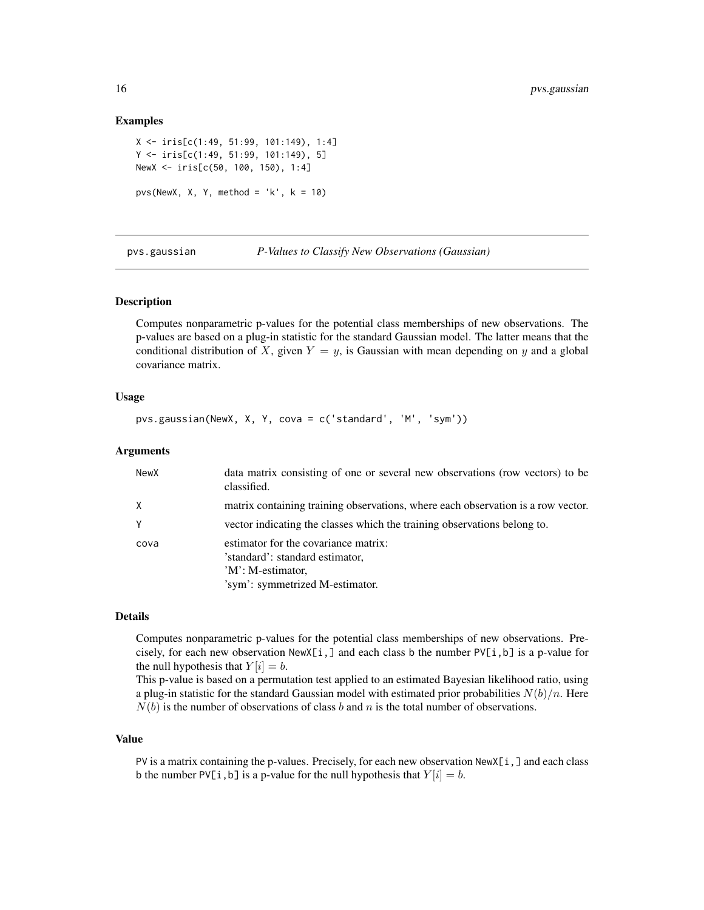## Examples

```
X <- iris[c(1:49, 51:99, 101:149), 1:4]
Y <- iris[c(1:49, 51:99, 101:149), 5]
NewX <- iris[c(50, 100, 150), 1:4]
pvs(NewX, X, Y, method = 'k', k = 10)
```
<span id="page-15-1"></span>

pvs.gaussian *P-Values to Classify New Observations (Gaussian)*

#### Description

Computes nonparametric p-values for the potential class memberships of new observations. The p-values are based on a plug-in statistic for the standard Gaussian model. The latter means that the conditional distribution of X, given  $Y = y$ , is Gaussian with mean depending on y and a global covariance matrix.

## Usage

```
pvs.gaussian(NewX, X, Y, cova = c('standard', 'M', 'sym'))
```
#### Arguments

| NewX     | data matrix consisting of one or several new observations (row vectors) to be<br>classified.                                    |
|----------|---------------------------------------------------------------------------------------------------------------------------------|
| $\times$ | matrix containing training observations, where each observation is a row vector.                                                |
| Y        | vector indicating the classes which the training observations belong to.                                                        |
| cova     | estimator for the covariance matrix:<br>'standard': standard estimator,<br>'M': M-estimator,<br>'sym': symmetrized M-estimator. |

## Details

Computes nonparametric p-values for the potential class memberships of new observations. Precisely, for each new observation  $NewX[i, ]$  and each class b the number  $PV[i, b]$  is a p-value for the null hypothesis that  $Y[i] = b$ .

This p-value is based on a permutation test applied to an estimated Bayesian likelihood ratio, using a plug-in statistic for the standard Gaussian model with estimated prior probabilities  $N(b)/n$ . Here  $N(b)$  is the number of observations of class b and n is the total number of observations.

## Value

PV is a matrix containing the p-values. Precisely, for each new observation NewX[i,] and each class b the number PV[i, b] is a p-value for the null hypothesis that  $Y[i] = b$ .

<span id="page-15-0"></span>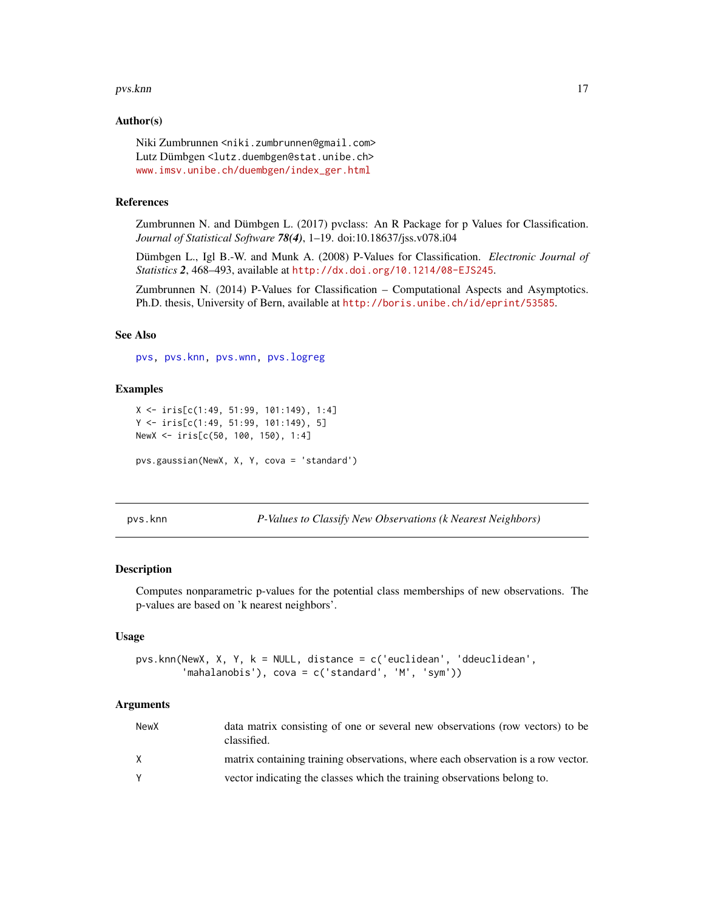#### <span id="page-16-0"></span>pvs.knn **17**

## Author(s)

Niki Zumbrunnen <niki.zumbrunnen@gmail.com> Lutz Dümbgen <lutz.duembgen@stat.unibe.ch> [www.imsv.unibe.ch/duembgen/index\\_ger.html](www.imsv.unibe.ch/duembgen/index_ger.html)

## References

Zumbrunnen N. and Dümbgen L. (2017) pvclass: An R Package for p Values for Classification. *Journal of Statistical Software 78(4)*, 1–19. doi:10.18637/jss.v078.i04

Dümbgen L., Igl B.-W. and Munk A. (2008) P-Values for Classification. *Electronic Journal of Statistics 2*, 468–493, available at <http://dx.doi.org/10.1214/08-EJS245>.

Zumbrunnen N. (2014) P-Values for Classification – Computational Aspects and Asymptotics. Ph.D. thesis, University of Bern, available at <http://boris.unibe.ch/id/eprint/53585>.

## See Also

[pvs,](#page-13-1) [pvs.knn,](#page-16-1) [pvs.wnn,](#page-20-1) [pvs.logreg](#page-18-1)

## Examples

```
X <- iris[c(1:49, 51:99, 101:149), 1:4]
Y <- iris[c(1:49, 51:99, 101:149), 5]
NewX <- iris[c(50, 100, 150), 1:4]
pvs.gaussian(NewX, X, Y, cova = 'standard')
```
<span id="page-16-1"></span>pvs.knn *P-Values to Classify New Observations (k Nearest Neighbors)*

#### Description

Computes nonparametric p-values for the potential class memberships of new observations. The p-values are based on 'k nearest neighbors'.

## Usage

```
pvs.knn(NewX, X, Y, k = NULL, distance = c('euclidean', 'ddeuclidean',
        'mahalanobis'), cova = c('standard', 'M', 'sym'))
```
## Arguments

| NewX | data matrix consisting of one or several new observations (row vectors) to be<br>classified. |
|------|----------------------------------------------------------------------------------------------|
|      | matrix containing training observations, where each observation is a row vector.             |
|      | vector indicating the classes which the training observations belong to.                     |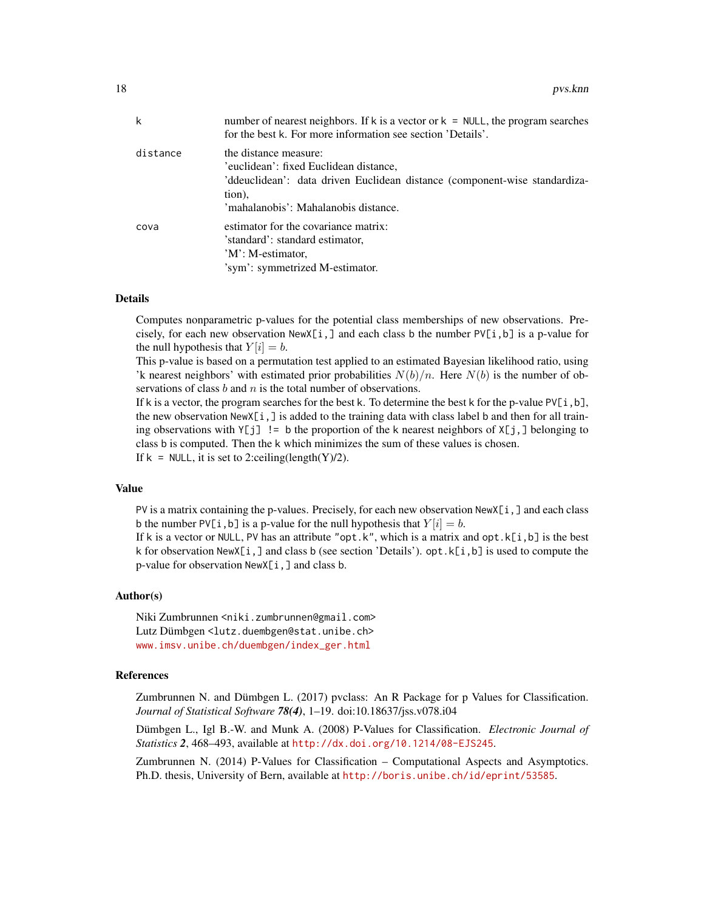| k        | number of nearest neighbors. If k is a vector or $k = NULL$ , the program searches<br>for the best k. For more information see section 'Details'.                                               |
|----------|-------------------------------------------------------------------------------------------------------------------------------------------------------------------------------------------------|
| distance | the distance measure:<br>'euclidean': fixed Euclidean distance,<br>'ddeuclidean': data driven Euclidean distance (component-wise standardiza-<br>tion),<br>'mahalanobis': Mahalanobis distance. |
| cova     | estimator for the covariance matrix:<br>'standard': standard estimator,<br>'M': M-estimator,<br>'sym': symmetrized M-estimator.                                                                 |

## Details

Computes nonparametric p-values for the potential class memberships of new observations. Precisely, for each new observation  $NewX[i, ]$  and each class b the number  $PV[i, b]$  is a p-value for the null hypothesis that  $Y[i] = b$ .

This p-value is based on a permutation test applied to an estimated Bayesian likelihood ratio, using 'k nearest neighbors' with estimated prior probabilities  $N(b)/n$ . Here  $N(b)$  is the number of observations of class  $b$  and  $n$  is the total number of observations.

If k is a vector, the program searches for the best k. To determine the best k for the p-value  $PV[i, b]$ , the new observation  $NewX[i, ]$  is added to the training data with class label b and then for all training observations with  $Y[j]$  != b the proportion of the k nearest neighbors of  $X[j, ]$  belonging to class b is computed. Then the k which minimizes the sum of these values is chosen. If  $k = NULL$ , it is set to 2:ceiling(length(Y)/2).

#### Value

PV is a matrix containing the p-values. Precisely, for each new observation NewX[i,] and each class b the number PV[i, b] is a p-value for the null hypothesis that  $Y[i] = b$ .

If k is a vector or NULL, PV has an attribute "opt.k", which is a matrix and opt.k[i,b] is the best k for observation  $NewX[i, ]$  and class b (see section 'Details'). opt.  $k[i, b]$  is used to compute the p-value for observation NewX[i,] and class b.

## Author(s)

Niki Zumbrunnen <niki.zumbrunnen@gmail.com> Lutz Dümbgen <lutz.duembgen@stat.unibe.ch> [www.imsv.unibe.ch/duembgen/index\\_ger.html](www.imsv.unibe.ch/duembgen/index_ger.html)

## References

Zumbrunnen N. and Dümbgen L. (2017) pvclass: An R Package for p Values for Classification. *Journal of Statistical Software 78(4)*, 1–19. doi:10.18637/jss.v078.i04

Dümbgen L., Igl B.-W. and Munk A. (2008) P-Values for Classification. *Electronic Journal of Statistics 2*, 468–493, available at <http://dx.doi.org/10.1214/08-EJS245>.

Zumbrunnen N. (2014) P-Values for Classification – Computational Aspects and Asymptotics. Ph.D. thesis, University of Bern, available at <http://boris.unibe.ch/id/eprint/53585>.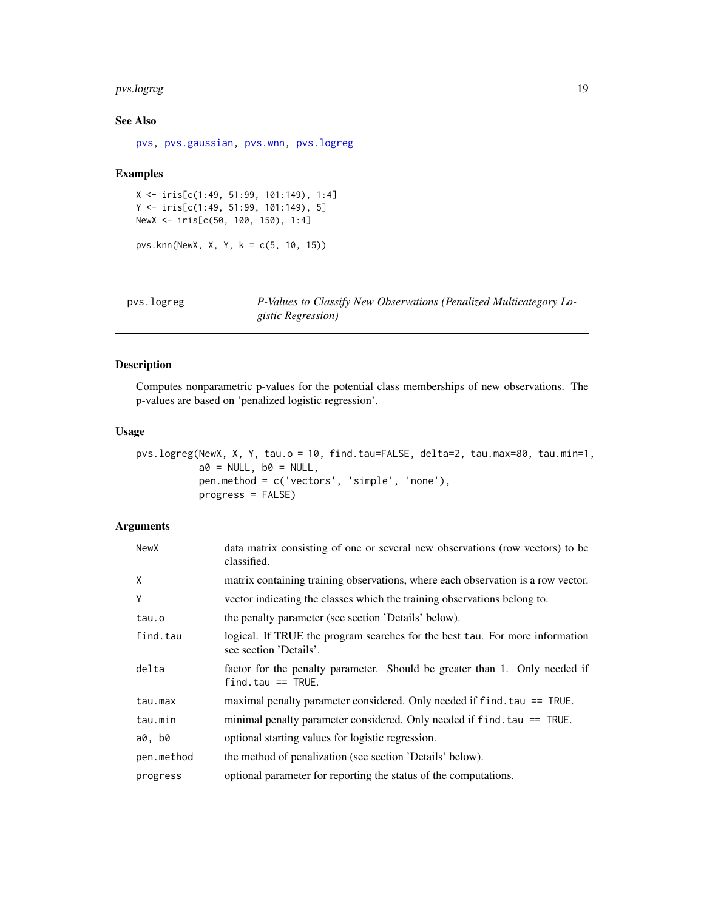## <span id="page-18-0"></span>pvs.logreg 19

## See Also

[pvs,](#page-13-1) [pvs.gaussian,](#page-15-1) [pvs.wnn,](#page-20-1) [pvs.logreg](#page-18-1)

## Examples

```
X <- iris[c(1:49, 51:99, 101:149), 1:4]
Y <- iris[c(1:49, 51:99, 101:149), 5]
NewX <- iris[c(50, 100, 150), 1:4]
```
pvs.knn(NewX, X, Y, k = c(5, 10, 15))

<span id="page-18-1"></span>

| pvs.logreg | P-Values to Classify New Observations (Penalized Multicategory Lo- |
|------------|--------------------------------------------------------------------|
|            | <i>gistic Regression</i> )                                         |

## Description

Computes nonparametric p-values for the potential class memberships of new observations. The p-values are based on 'penalized logistic regression'.

## Usage

pvs.logreg(NewX, X, Y, tau.o = 10, find.tau=FALSE, delta=2, tau.max=80, tau.min=1,  $a0 = NULL, b0 = NULL,$ pen.method = c('vectors', 'simple', 'none'), progress = FALSE)

## Arguments

| NewX       | data matrix consisting of one or several new observations (row vectors) to be<br>classified.           |
|------------|--------------------------------------------------------------------------------------------------------|
| X          | matrix containing training observations, where each observation is a row vector.                       |
| Y          | vector indicating the classes which the training observations belong to.                               |
| tau.o      | the penalty parameter (see section 'Details' below).                                                   |
| find.tau   | logical. If TRUE the program searches for the best tau. For more information<br>see section 'Details'. |
| delta      | factor for the penalty parameter. Should be greater than 1. Only needed if<br>$find$ tau == TRUE.      |
| tau.max    | maximal penalty parameter considered. Only needed if $find$ tau $==$ TRUE.                             |
| tau.min    | minimal penalty parameter considered. Only needed if f ind. tau == TRUE.                               |
| a0, b0     | optional starting values for logistic regression.                                                      |
| pen.method | the method of penalization (see section 'Details' below).                                              |
| progress   | optional parameter for reporting the status of the computations.                                       |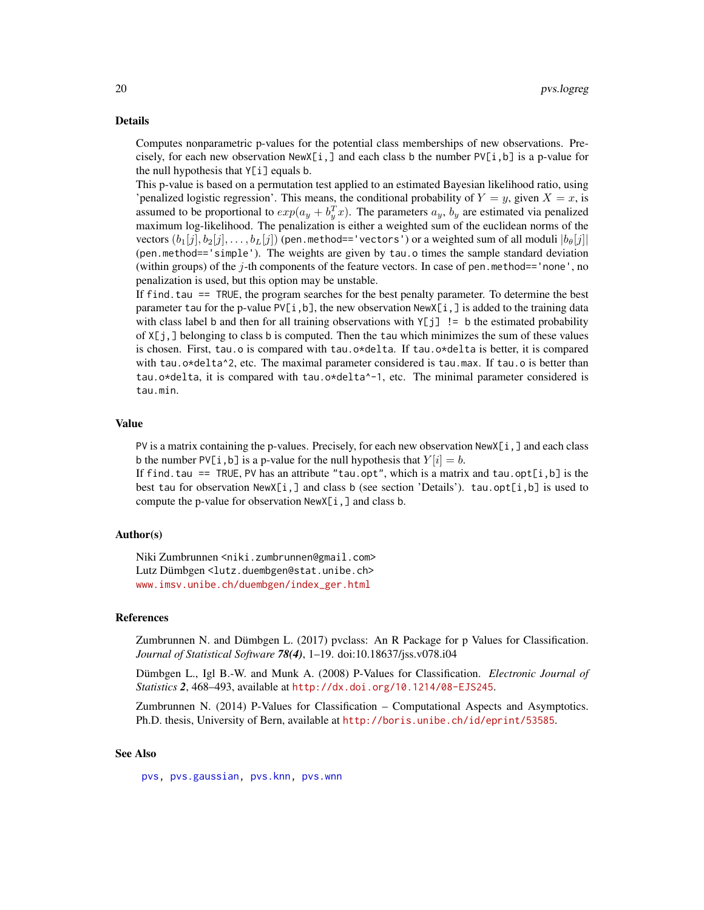## <span id="page-19-0"></span>Details

Computes nonparametric p-values for the potential class memberships of new observations. Precisely, for each new observation  $NewX[i, ]$  and each class b the number  $PV[i, b]$  is a p-value for the null hypothesis that  $Y[i]$  equals b.

This p-value is based on a permutation test applied to an estimated Bayesian likelihood ratio, using 'penalized logistic regression'. This means, the conditional probability of  $Y = y$ , given  $X = x$ , is assumed to be proportional to  $exp(a_y + b_y^T x)$ . The parameters  $a_y$ ,  $b_y$  are estimated via penalized maximum log-likelihood. The penalization is either a weighted sum of the euclidean norms of the vectors  $(b_1[j], b_2[j], \ldots, b_L[j])$  (pen.method=='vectors') or a weighted sum of all moduli  $|b_\theta[j]|$ (pen.method=='simple'). The weights are given by tau.o times the sample standard deviation (within groups) of the  $j$ -th components of the feature vectors. In case of pen.method=='none', no penalization is used, but this option may be unstable.

If find. tau == TRUE, the program searches for the best penalty parameter. To determine the best parameter tau for the p-value PV[i,b], the new observation NewX[i,] is added to the training data with class label b and then for all training observations with  $Y[j]$  != b the estimated probability of X[j,] belonging to class b is computed. Then the tau which minimizes the sum of these values is chosen. First, tau.o is compared with tau.o\*delta. If tau.o\*delta is better, it is compared with tau.o\*delta^2, etc. The maximal parameter considered is tau.max. If tau.o is better than tau.o\*delta, it is compared with tau.o\*delta^-1, etc. The minimal parameter considered is tau.min.

#### Value

PV is a matrix containing the p-values. Precisely, for each new observation  $NewX[i, ]$  and each class b the number PV[i, b] is a p-value for the null hypothesis that  $Y[i] = b$ .

If find.tau == TRUE, PV has an attribute "tau.opt", which is a matrix and tau.opt[i,b] is the best tau for observation  $NewX[i, ]$  and class b (see section 'Details'). tau.opt[i, b] is used to compute the p-value for observation NewX[i,] and class b.

## Author(s)

Niki Zumbrunnen <niki.zumbrunnen@gmail.com> Lutz Dümbgen <lutz.duembgen@stat.unibe.ch> [www.imsv.unibe.ch/duembgen/index\\_ger.html](www.imsv.unibe.ch/duembgen/index_ger.html)

## References

Zumbrunnen N. and Dümbgen L. (2017) pvclass: An R Package for p Values for Classification. *Journal of Statistical Software 78(4)*, 1–19. doi:10.18637/jss.v078.i04

Dümbgen L., Igl B.-W. and Munk A. (2008) P-Values for Classification. *Electronic Journal of Statistics 2*, 468–493, available at <http://dx.doi.org/10.1214/08-EJS245>.

Zumbrunnen N. (2014) P-Values for Classification – Computational Aspects and Asymptotics. Ph.D. thesis, University of Bern, available at <http://boris.unibe.ch/id/eprint/53585>.

#### See Also

[pvs,](#page-13-1) [pvs.gaussian,](#page-15-1) [pvs.knn,](#page-16-1) [pvs.wnn](#page-20-1)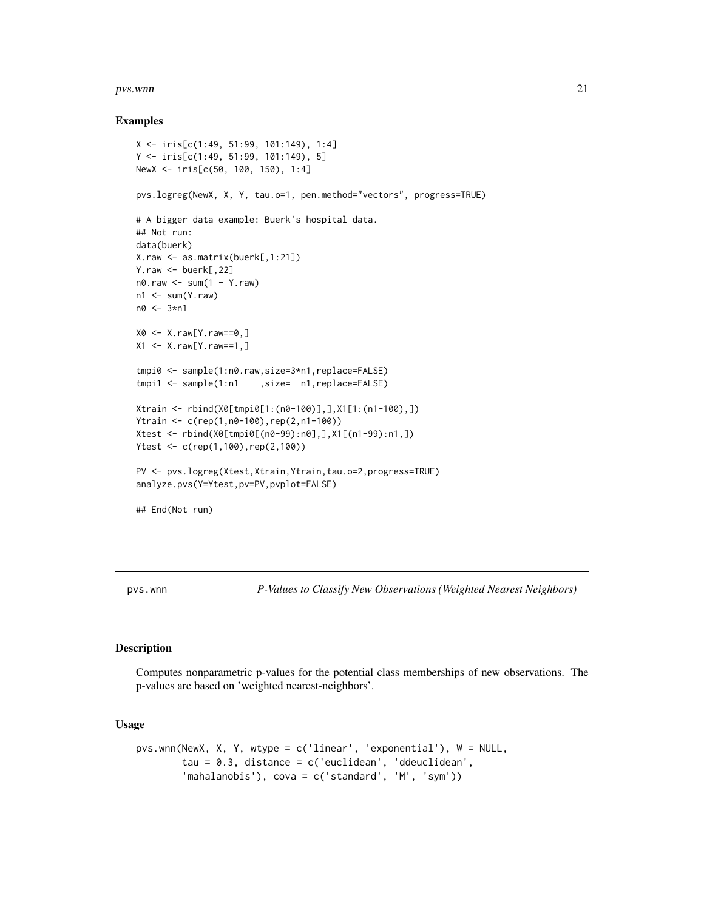#### <span id="page-20-0"></span>pvs.wnn 21

## Examples

```
X <- iris[c(1:49, 51:99, 101:149), 1:4]
Y <- iris[c(1:49, 51:99, 101:149), 5]
NewX <- iris[c(50, 100, 150), 1:4]
pvs.logreg(NewX, X, Y, tau.o=1, pen.method="vectors", progress=TRUE)
# A bigger data example: Buerk's hospital data.
## Not run:
data(buerk)
X.raw <- as.matrix(buerk[,1:21])
Y.raw \leq - buerk[,22]
n0.raw <- sum(1 - Y.raw)
n1 < -sum(Y, raw)n0 < -3*n1X0 <- X.raw[Y.raw==0,]
X1 <- X.raw[Y.raw==1,]
tmpi0 <- sample(1:n0.raw,size=3*n1,replace=FALSE)
tmpi1 <- sample(1:n1 , size= n1, replace=FALSE)
Xtrain <- rbind(X0[tmpi0[1:(n0-100)],],X1[1:(n1-100),])
Ytrain <- c(rep(1,n0-100),rep(2,n1-100))
Xtest <- rbind(X0[tmpi0[(n0-99):n0],],X1[(n1-99):n1,])
Ytest <- c(rep(1,100),rep(2,100))
PV <- pvs.logreg(Xtest,Xtrain,Ytrain,tau.o=2,progress=TRUE)
analyze.pvs(Y=Ytest,pv=PV,pvplot=FALSE)
## End(Not run)
```
<span id="page-20-1"></span>pvs.wnn *P-Values to Classify New Observations (Weighted Nearest Neighbors)*

## Description

Computes nonparametric p-values for the potential class memberships of new observations. The p-values are based on 'weighted nearest-neighbors'.

#### Usage

```
pvs.wnn(NewX, X, Y, wtype = c('linear', 'exponential'), W = NULL,
        tau = 0.3, distance = c('euclidean', 'ddeuclidean',
        'mahalanobis'), cova = c('standard', 'M', 'sym'))
```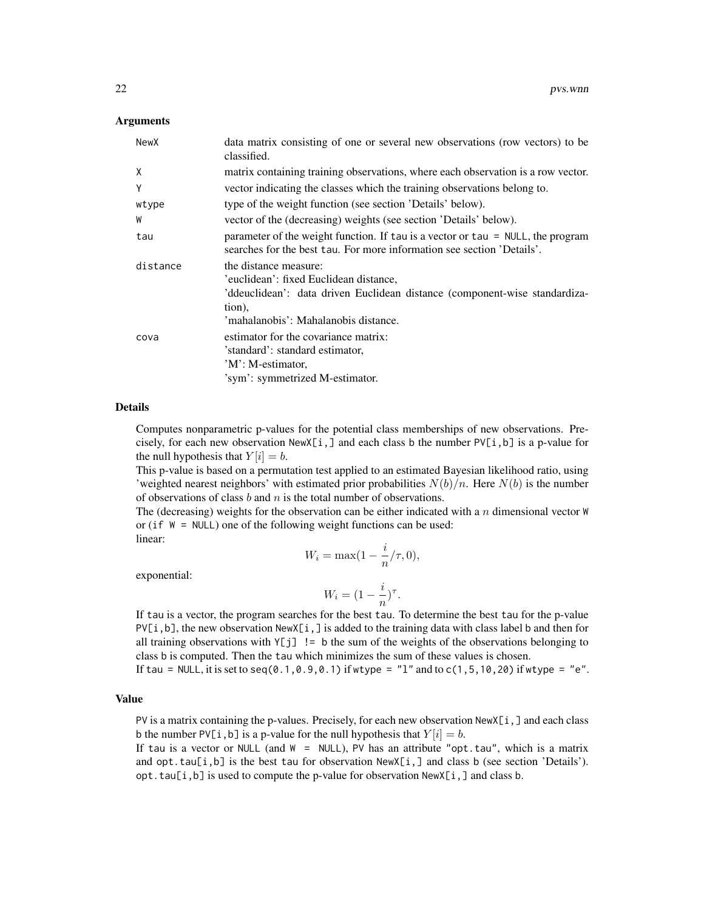## **Arguments**

| NewX     | data matrix consisting of one or several new observations (row vectors) to be<br>classified.                                                                                                    |
|----------|-------------------------------------------------------------------------------------------------------------------------------------------------------------------------------------------------|
| X        | matrix containing training observations, where each observation is a row vector.                                                                                                                |
| Y        | vector indicating the classes which the training observations belong to.                                                                                                                        |
| wtype    | type of the weight function (see section 'Details' below).                                                                                                                                      |
| W        | vector of the (decreasing) weights (see section 'Details' below).                                                                                                                               |
| tau      | parameter of the weight function. If tau is a vector or tau = NULL, the program<br>searches for the best tau. For more information see section 'Details'.                                       |
| distance | the distance measure:<br>'euclidean': fixed Euclidean distance,<br>'ddeuclidean': data driven Euclidean distance (component-wise standardiza-<br>tion),<br>'mahalanobis': Mahalanobis distance. |
| cova     | estimator for the covariance matrix:<br>'standard': standard estimator,<br>'M': M-estimator,<br>'sym': symmetrized M-estimator.                                                                 |

## Details

Computes nonparametric p-values for the potential class memberships of new observations. Precisely, for each new observation  $NewX[i, ]$  and each class b the number  $PV[i, b]$  is a p-value for the null hypothesis that  $Y[i] = b$ .

This p-value is based on a permutation test applied to an estimated Bayesian likelihood ratio, using 'weighted nearest neighbors' with estimated prior probabilities  $N(b)/n$ . Here  $N(b)$  is the number of observations of class  $b$  and  $n$  is the total number of observations.

The (decreasing) weights for the observation can be either indicated with a  $n$  dimensional vector  $W$ or (if W = NULL) one of the following weight functions can be used: linear:

exponential:

$$
W_i = \max(1 - \frac{i}{n}/\tau, 0),
$$

$$
W_i = (1 - \frac{i}{n})^{\tau}.
$$

If tau is a vector, the program searches for the best tau. To determine the best tau for the p-value  $PV[i, b]$ , the new observation NewX[i,] is added to the training data with class label b and then for all training observations with  $Y[j]$  != b the sum of the weights of the observations belonging to class b is computed. Then the tau which minimizes the sum of these values is chosen.

If tau = NULL, it is set to seq(0.1, 0.9, 0.1) if wtype =  $"1"$  and to  $c(1,5,10,20)$  if wtype =  $"e"$ .

## Value

PV is a matrix containing the p-values. Precisely, for each new observation NewX[i,] and each class b the number PV[i, b] is a p-value for the null hypothesis that  $Y[i] = b$ .

If tau is a vector or NULL (and  $W = NULL$ ), PV has an attribute "opt.tau", which is a matrix and opt.tau[i,b] is the best tau for observation  $NewX[i, ]$  and class b (see section 'Details'). opt.tau[i,b] is used to compute the p-value for observation NewX[i,] and class b.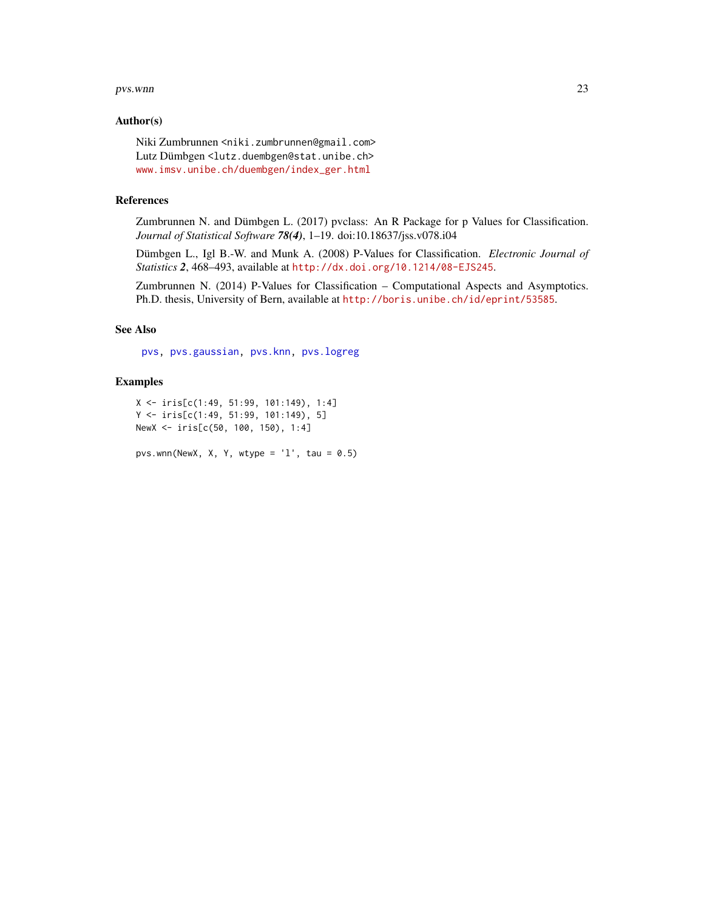#### <span id="page-22-0"></span>pvs.wnn 23

## Author(s)

Niki Zumbrunnen <niki.zumbrunnen@gmail.com> Lutz Dümbgen <lutz.duembgen@stat.unibe.ch> [www.imsv.unibe.ch/duembgen/index\\_ger.html](www.imsv.unibe.ch/duembgen/index_ger.html)

## References

Zumbrunnen N. and Dümbgen L. (2017) pvclass: An R Package for p Values for Classification. *Journal of Statistical Software 78(4)*, 1–19. doi:10.18637/jss.v078.i04

Dümbgen L., Igl B.-W. and Munk A. (2008) P-Values for Classification. *Electronic Journal of Statistics 2*, 468–493, available at <http://dx.doi.org/10.1214/08-EJS245>.

Zumbrunnen N. (2014) P-Values for Classification – Computational Aspects and Asymptotics. Ph.D. thesis, University of Bern, available at <http://boris.unibe.ch/id/eprint/53585>.

## See Also

[pvs,](#page-13-1) [pvs.gaussian,](#page-15-1) [pvs.knn,](#page-16-1) [pvs.logreg](#page-18-1)

## Examples

```
X <- iris[c(1:49, 51:99, 101:149), 1:4]
Y <- iris[c(1:49, 51:99, 101:149), 5]
NewX <- iris[c(50, 100, 150), 1:4]
```
pvs.wnn(NewX, X, Y, wtype =  $'1'$ , tau = 0.5)